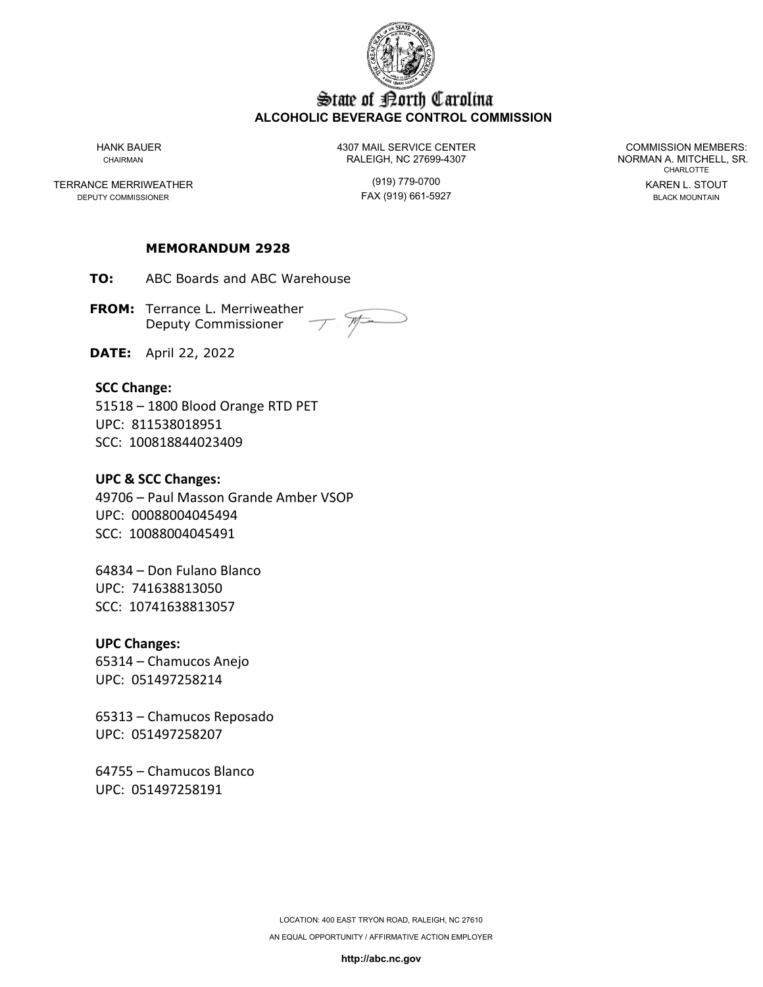

# State of Porth Carolina **ALCOHOLIC BEVERAGE CONTROL COMMISSION**

TERRANCE MERRIWEATHER (919) 779-0700 KAREN L. STOUT DEPUTY COMMISSIONER

HANK BAUER 4307 MAIL SERVICE CENTER COMMISSION MEMBERS: CHAIRMAN CHAIRMAN RALEIGH, NC 27699-4307 NORMAN A. MITCHELL, SR.

CHARLOTTE

## **MEMORANDUM 2928**

**TO:** ABC Boards and ABC Warehouse

**FROM:** Terrance L. Merriweather Deputy Commissioner

**DATE:** April 22, 2022

## **SCC Change:**

51518 – 1800 Blood Orange RTD PET UPC: 811538018951 SCC: 100818844023409

## **UPC & SCC Changes:**

49706 – Paul Masson Grande Amber VSOP UPC: 00088004045494 SCC: 10088004045491

64834 – Don Fulano Blanco UPC: 741638813050 SCC: 10741638813057

#### **UPC Changes:**

65314 – Chamucos Anejo UPC: 051497258214

65313 – Chamucos Reposado UPC: 051497258207

64755 – Chamucos Blanco UPC: 051497258191

**http://abc.nc.gov**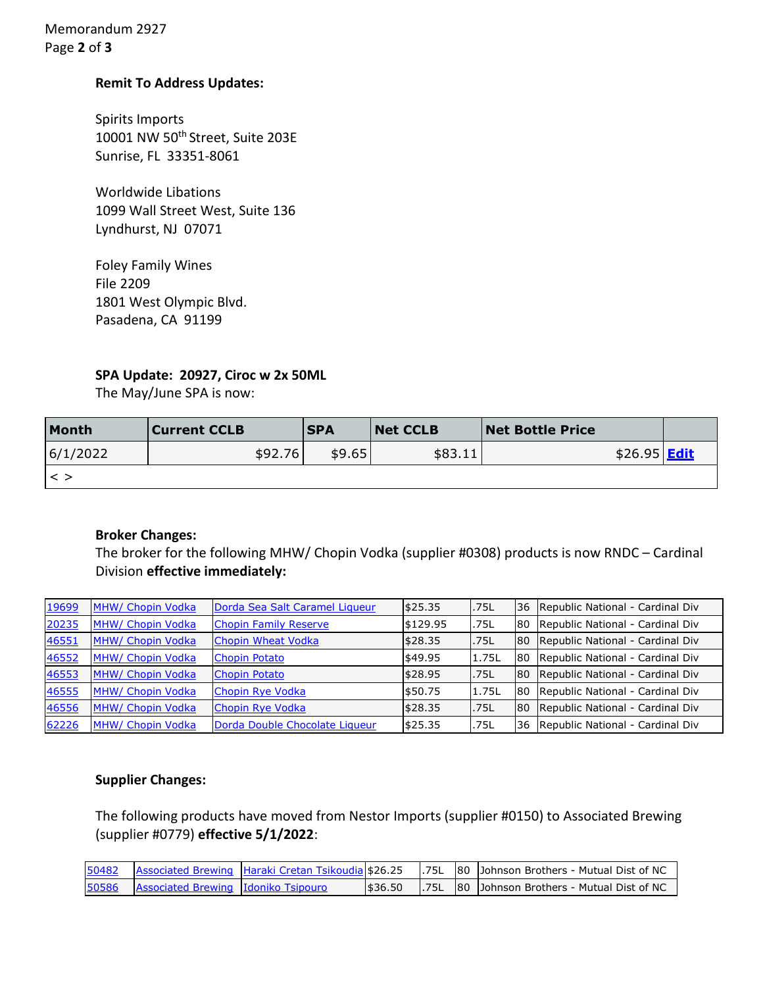Memorandum 2927 Page **2** of **3**

## **Remit To Address Updates:**

Spirits Imports 10001 NW 50<sup>th</sup> Street, Suite 203E Sunrise, FL 33351-8061

Worldwide Libations 1099 Wall Street West, Suite 136 Lyndhurst, NJ 07071

Foley Family Wines File 2209 1801 West Olympic Blvd. Pasadena, CA 91199

## **SPA Update: 20927, Ciroc w 2x 50ML**

The May/June SPA is now:

| Month    | Current CCLB | <b>SPA</b> | <b>Net CCLB</b> | <b>Net Bottle Price</b> |  |
|----------|--------------|------------|-----------------|-------------------------|--|
| 6/1/2022 | \$92.76      | \$9.65     | \$83.11         | $$26.95$ Edit           |  |
|          |              |            |                 |                         |  |

## **Broker Changes:**

The broker for the following MHW/ Chopin Vodka (supplier #0308) products is now RNDC – Cardinal Division **effective immediately:**

| 19699 | MHW/ Chopin Vodka | Dorda Sea Salt Caramel Liqueur | \$25.35  | .75L  | 36        | Republic National - Cardinal Div |
|-------|-------------------|--------------------------------|----------|-------|-----------|----------------------------------|
| 20235 | MHW/ Chopin Vodka | <b>Chopin Family Reserve</b>   | \$129.95 | .75L  | 80        | Republic National - Cardinal Div |
| 46551 | MHW/ Chopin Vodka | <b>Chopin Wheat Vodka</b>      | \$28.35  | .75L  | <b>80</b> | Republic National - Cardinal Div |
| 46552 | MHW/ Chopin Vodka | <b>Chopin Potato</b>           | \$49.95  | 1.75L | 180       | Republic National - Cardinal Div |
| 46553 | MHW/ Chopin Vodka | <b>Chopin Potato</b>           | \$28.95  | .75L  | <b>80</b> | Republic National - Cardinal Div |
| 46555 | MHW/ Chopin Vodka | Chopin Rye Vodka               | \$50.75  | 1.75L | <b>80</b> | Republic National - Cardinal Div |
| 46556 | MHW/ Chopin Vodka | Chopin Rye Vodka               | \$28.35  | .75L  | <b>80</b> | Republic National - Cardinal Div |
| 62226 | MHW/ Chopin Vodka | Dorda Double Chocolate Liqueur | \$25.35  | .75L  | <b>36</b> | Republic National - Cardinal Div |

## **Supplier Changes:**

The following products have moved from Nestor Imports (supplier #0150) to Associated Brewing (supplier #0779) **effective 5/1/2022**:

| 50482 |                                     | Associated Brewing Haraki Cretan Tsikoudia \$26.25 |          | . 75L | 180 Johnson Brothers - Mutual Dist of NC        |
|-------|-------------------------------------|----------------------------------------------------|----------|-------|-------------------------------------------------|
| 50586 | Associated Brewing Idoniko Tsipouro |                                                    | 1\$36.50 |       | 1.75L 180 JJohnson Brothers - Mutual Dist of NC |